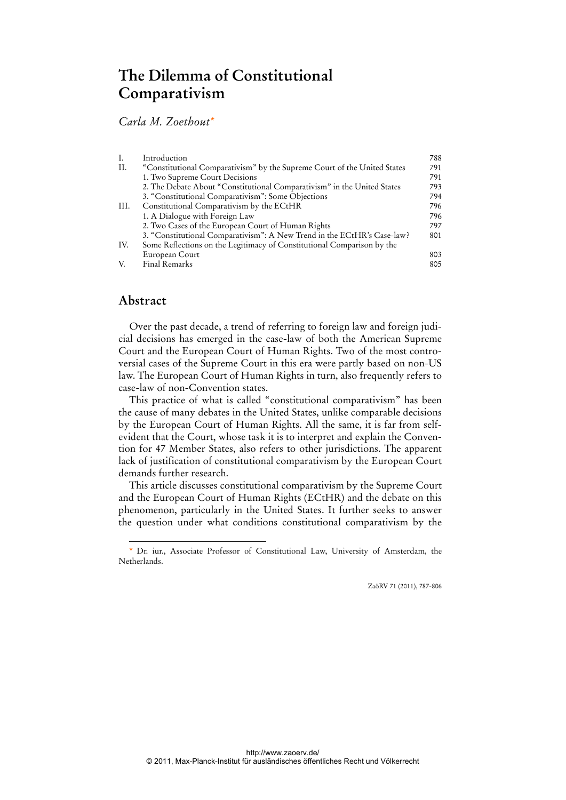# **The Dilemma of Constitutional Comparativism**

## *Carla M. Zoethout\**

| Ι.   | Introduction                                                             | 788 |
|------|--------------------------------------------------------------------------|-----|
| II.  | "Constitutional Comparativism" by the Supreme Court of the United States | 791 |
|      | 1. Two Supreme Court Decisions                                           | 791 |
|      | 2. The Debate About "Constitutional Comparativism" in the United States  | 793 |
|      | 3. "Constitutional Comparativism": Some Objections                       | 794 |
| III. | Constitutional Comparativism by the ECtHR                                | 796 |
|      | 1. A Dialogue with Foreign Law                                           | 796 |
|      | 2. Two Cases of the European Court of Human Rights                       | 797 |
|      | 3. "Constitutional Comparativism": A New Trend in the ECtHR's Case-law?  | 801 |
| IV.  | Some Reflections on the Legitimacy of Constitutional Comparison by the   |     |
|      | European Court                                                           | 803 |
| V.   | Final Remarks                                                            | 805 |

## **Abstract**

 $\overline{a}$ 

Over the past decade, a trend of referring to foreign law and foreign judicial decisions has emerged in the case-law of both the American Supreme Court and the European Court of Human Rights. Two of the most controversial cases of the Supreme Court in this era were partly based on non-US law. The European Court of Human Rights in turn, also frequently refers to case-law of non-Convention states.

This practice of what is called "constitutional comparativism" has been the cause of many debates in the United States, unlike comparable decisions by the European Court of Human Rights. All the same, it is far from selfevident that the Court, whose task it is to interpret and explain the Convention for 47 Member States, also refers to other jurisdictions. The apparent lack of justification of constitutional comparativism by the European Court demands further research.

This article discusses constitutional comparativism by the Supreme Court and the European Court of Human Rights (ECtHR) and the debate on this phenomenon, particularly in the United States. It further seeks to answer the question under what conditions constitutional comparativism by the

ZaöRV 71 (2011), 787-806

<sup>\*</sup> Dr. iur., Associate Professor of Constitutional Law, University of Amsterdam, the Netherlands.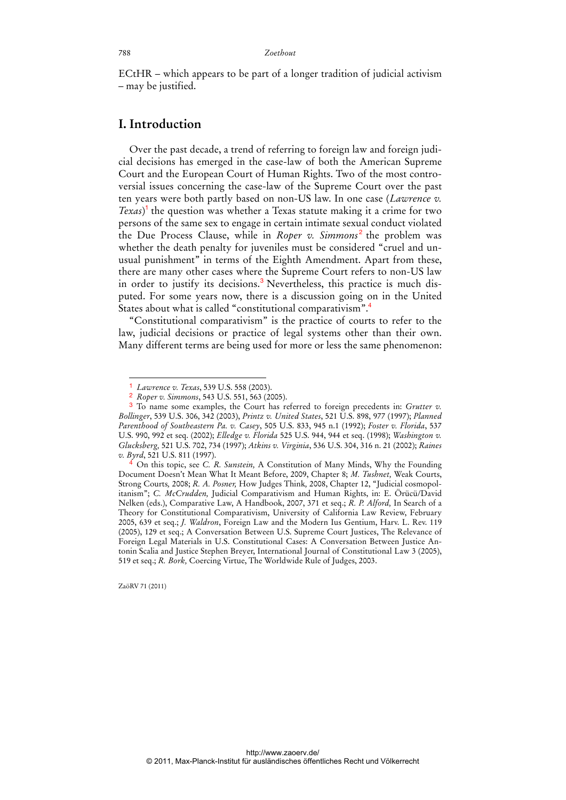ECtHR – which appears to be part of a longer tradition of judicial activism – may be justified.

### **I. Introduction**

Over the past decade, a trend of referring to foreign law and foreign judicial decisions has emerged in the case-law of both the American Supreme Court and the European Court of Human Rights. Two of the most controversial issues concerning the case-law of the Supreme Court over the past ten years were both partly based on non-US law. In one case (*Lawrence v. Texas*) <sup>1</sup> the question was whether a Texas statute making it a crime for two persons of the same sex to engage in certain intimate sexual conduct violated the Due Process Clause, while in *Roper v. Simmons<sup>2</sup>* the problem was whether the death penalty for juveniles must be considered "cruel and unusual punishment" in terms of the Eighth Amendment. Apart from these, there are many other cases where the Supreme Court refers to non-US law in order to justify its decisions.<sup>3</sup> Nevertheless, this practice is much disputed. For some years now, there is a discussion going on in the United States about what is called "constitutional comparativism".

"Constitutional comparativism" is the practice of courts to refer to the law, judicial decisions or practice of legal systems other than their own. Many different terms are being used for more or less the same phenomenon:

ZaöRV 71 (2011)

<sup>1</sup> *Lawrence v. Texas*, 539 U.S. 558 (2003).

<sup>2</sup> *Roper v. Simmons*, 543 U.S. 551, 563 (2005).

<sup>3</sup> To name some examples, the Court has referred to foreign precedents in: *Grutter v. Bollinger*, 539 U.S. 306, 342 (2003), *Printz v. United States*, 521 U.S. 898, 977 (1997); *Planned Parenthood of Southeastern Pa. v. Casey*, 505 U.S. 833, 945 n.1 (1992); *Foster v. Florida*, 537 U.S. 990, 992 et seq. (2002); *Elledge v. Florida* 525 U.S. 944, 944 et seq. (1998); *Washington v. Glucksberg,* 521 U.S. 702, 734 (1997); *Atkins v. Virginia*, 536 U.S. 304, 316 n. 21 (2002); *Raines v. Byrd*, 521 U.S. 811 (1997).

<sup>4</sup> On this topic, see *C. R. Sunstein,* A Constitution of Many Minds, Why the Founding Document Doesn't Mean What It Meant Before, 2009, Chapter 8; *M. Tushnet,* Weak Courts, Strong Courts*,* 2008; *R. A. Posner,* How Judges Think*,* 2008, Chapter 12, "Judicial cosmopolitanism"; *C. McCrudden,* Judicial Comparativism and Human Rights, in: E. Örücü/David Nelken (eds.), Comparative Law, A Handbook, 2007, 371 et seq.; *R. P. Alford,* In Search of a Theory for Constitutional Comparativism, University of California Law Review, February 2005, 639 et seq.; *J. Waldron*, Foreign Law and the Modern Ius Gentium, Harv. L. Rev. 119 (2005), 129 et seq.; A Conversation Between U.S. Supreme Court Justices, The Relevance of Foreign Legal Materials in U.S. Constitutional Cases: A Conversation Between Justice Antonin Scalia and Justice Stephen Breyer, International Journal of Constitutional Law 3 (2005), 519 et seq.; *R. Bork,* Coercing Virtue, The Worldwide Rule of Judges, 2003.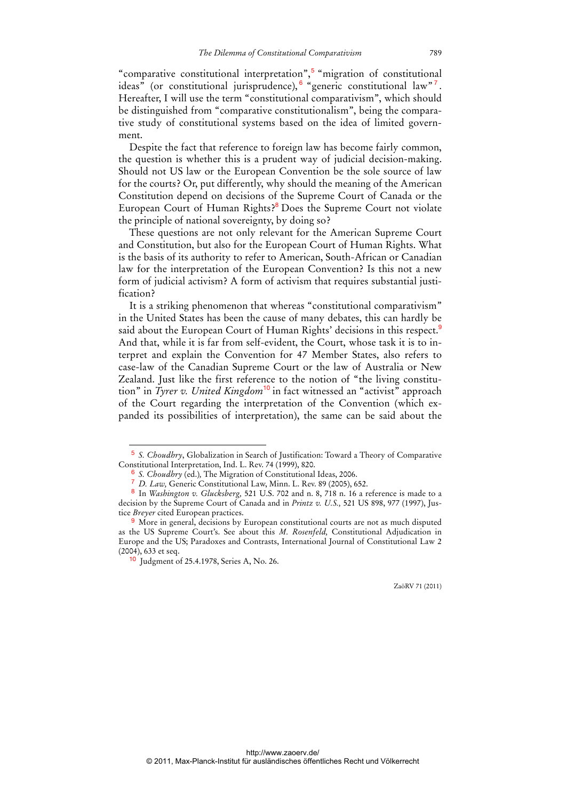"comparative constitutional interpretation",<sup>5</sup> "migration of constitutional ideas" (or constitutional jurisprudence),  $6 \frac{9}{2}$  generic constitutional law"<sup>7</sup>. Hereafter, I will use the term "constitutional comparativism", which should be distinguished from "comparative constitutionalism", being the comparative study of constitutional systems based on the idea of limited government.

Despite the fact that reference to foreign law has become fairly common, the question is whether this is a prudent way of judicial decision-making. Should not US law or the European Convention be the sole source of law for the courts? Or, put differently, why should the meaning of the American Constitution depend on decisions of the Supreme Court of Canada or the European Court of Human Rights?<sup>8</sup> Does the Supreme Court not violate the principle of national sovereignty, by doing so?

These questions are not only relevant for the American Supreme Court and Constitution, but also for the European Court of Human Rights. What is the basis of its authority to refer to American, South-African or Canadian law for the interpretation of the European Convention? Is this not a new form of judicial activism? A form of activism that requires substantial justification?

It is a striking phenomenon that whereas "constitutional comparativism" in the United States has been the cause of many debates, this can hardly be said about the European Court of Human Rights' decisions in this respect.<sup>9</sup> And that, while it is far from self-evident, the Court, whose task it is to interpret and explain the Convention for 47 Member States, also refers to case-law of the Canadian Supreme Court or the law of Australia or New Zealand. Just like the first reference to the notion of "the living constitution" in *Tyrer v. United Kingdom*<sup>10</sup> in fact witnessed an "activist" approach of the Court regarding the interpretation of the Convention (which expanded its possibilities of interpretation), the same can be said about the

<sup>5</sup> *S. Choudhry*, Globalization in Search of Justification: Toward a Theory of Comparative Constitutional Interpretation, Ind. L. Rev. 74 (1999), 820.

<sup>6</sup> *S. Choudhry* (ed.)*,* The Migration of Constitutional Ideas, 2006.

<sup>7</sup> *D. Law,* Generic Constitutional Law, Minn. L. Rev. 89 (2005), 652.

<sup>8</sup> In *Washington v. Glucksberg,* 521 U.S. 702 and n. 8, 718 n. 16 a reference is made to a decision by the Supreme Court of Canada and in *Printz v. U.S.,* 521 US 898, 977 (1997), Justice *Breyer* cited European practices.

<sup>9</sup> More in general, decisions by European constitutional courts are not as much disputed as the US Supreme Court's. See about this *M. Rosenfeld,* Constitutional Adjudication in Europe and the US; Paradoxes and Contrasts, International Journal of Constitutional Law 2 (2004), 633 et seq.

<sup>10</sup> Judgment of 25.4.1978, Series A, No. 26.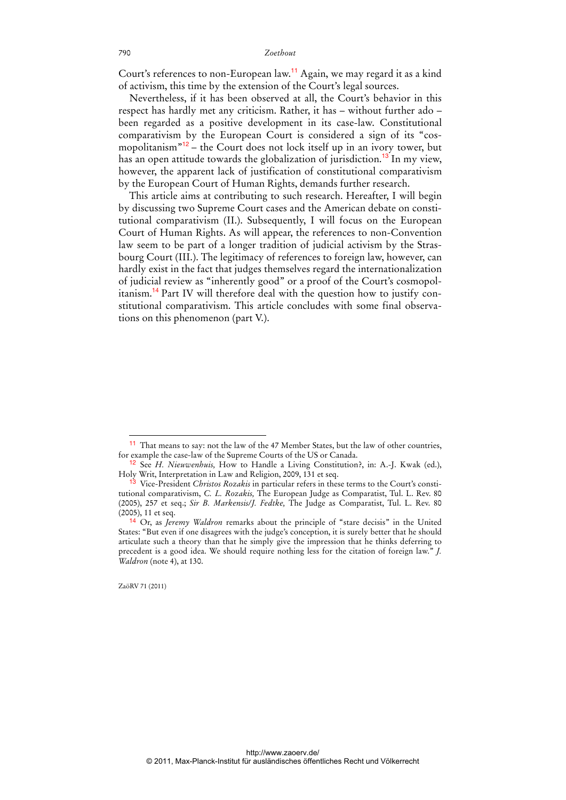Court's references to non-European law.<sup>11</sup> Again, we may regard it as a kind of activism, this time by the extension of the Court's legal sources.

Nevertheless, if it has been observed at all, the Court's behavior in this respect has hardly met any criticism. Rather, it has – without further ado – been regarded as a positive development in its case-law. Constitutional comparativism by the European Court is considered a sign of its "cosmopolitanism $^{\prime\prime\prime}$ <sup>12</sup> – the Court does not lock itself up in an ivory tower, but has an open attitude towards the globalization of jurisdiction.<sup>13</sup> In my view, however, the apparent lack of justification of constitutional comparativism by the European Court of Human Rights, demands further research.

This article aims at contributing to such research. Hereafter, I will begin by discussing two Supreme Court cases and the American debate on constitutional comparativism (II.). Subsequently, I will focus on the European Court of Human Rights. As will appear, the references to non-Convention law seem to be part of a longer tradition of judicial activism by the Strasbourg Court (III.). The legitimacy of references to foreign law, however, can hardly exist in the fact that judges themselves regard the internationalization of judicial review as "inherently good" or a proof of the Court's cosmopolitanism.<sup>14</sup> Part IV will therefore deal with the question how to justify constitutional comparativism. This article concludes with some final observations on this phenomenon (part V.).

ZaöRV 71 (2011)

<sup>&</sup>lt;sup>11</sup> That means to say: not the law of the 47 Member States, but the law of other countries, for example the case-law of the Supreme Courts of the US or Canada.

<sup>12</sup> See *H. Nieuwenhuis,* How to Handle a Living Constitution?, in: A.-J. Kwak (ed.), Holy Writ, Interpretation in Law and Religion, 2009, 131 et seq.

<sup>13</sup> Vice-President *Christos Rozakis* in particular refers in these terms to the Court's constitutional comparativism, *C. L. Rozakis,* The European Judge as Comparatist, Tul. L. Rev. 80 (2005), 257 et seq.; *Sir B. Markensis/J. Fedtke,* The Judge as Comparatist, Tul. L. Rev. 80 (2005), 11 et seq.

<sup>14</sup> Or, as *Jeremy Waldron* remarks about the principle of "stare decisis" in the United States: "But even if one disagrees with the judge's conception, it is surely better that he should articulate such a theory than that he simply give the impression that he thinks deferring to precedent is a good idea. We should require nothing less for the citation of foreign law." *J. Waldron* (note 4), at 130.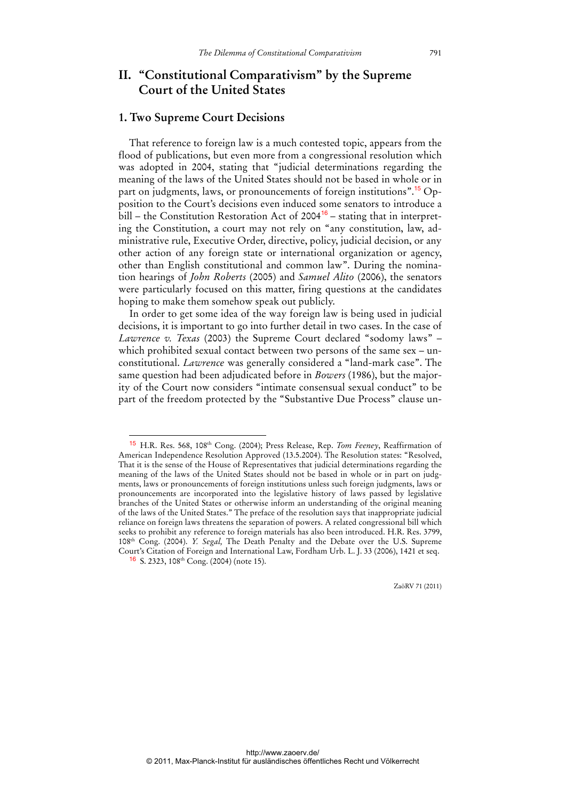## **II. "Constitutional Comparativism" by the Supreme Court of the United States**

### **1. Two Supreme Court Decisions**

 $\overline{a}$ 

That reference to foreign law is a much contested topic, appears from the flood of publications, but even more from a congressional resolution which was adopted in 2004, stating that "judicial determinations regarding the meaning of the laws of the United States should not be based in whole or in part on judgments, laws, or pronouncements of foreign institutions".15 Opposition to the Court's decisions even induced some senators to introduce a  $\tilde{b}$ ill – the Constitution Restoration Act of 2004<sup>16</sup> – stating that in interpreting the Constitution, a court may not rely on "any constitution, law, administrative rule, Executive Order, directive, policy, judicial decision, or any other action of any foreign state or international organization or agency, other than English constitutional and common law". During the nomination hearings of *John Roberts* (2005) and *Samuel Alito* (2006), the senators were particularly focused on this matter, firing questions at the candidates hoping to make them somehow speak out publicly.

In order to get some idea of the way foreign law is being used in judicial decisions, it is important to go into further detail in two cases. In the case of *Lawrence v. Texas* (2003) the Supreme Court declared "sodomy laws" – which prohibited sexual contact between two persons of the same sex – unconstitutional. *Lawrence* was generally considered a "land-mark case". The same question had been adjudicated before in *Bowers* (1986), but the majority of the Court now considers "intimate consensual sexual conduct" to be part of the freedom protected by the "Substantive Due Process" clause un-

ZaöRV 71 (2011)

<sup>15</sup> H.R. Res. 568, 108th Cong. (2004); Press Release, Rep. *Tom Feeney*, Reaffirmation of American Independence Resolution Approved (13.5.2004). The Resolution states: "Resolved, That it is the sense of the House of Representatives that judicial determinations regarding the meaning of the laws of the United States should not be based in whole or in part on judgments, laws or pronouncements of foreign institutions unless such foreign judgments, laws or pronouncements are incorporated into the legislative history of laws passed by legislative branches of the United States or otherwise inform an understanding of the original meaning of the laws of the United States." The preface of the resolution says that inappropriate judicial reliance on foreign laws threatens the separation of powers. A related congressional bill which seeks to prohibit any reference to foreign materials has also been introduced. H.R. Res. 3799, 108th Cong. (2004). *Y. Segal,* The Death Penalty and the Debate over the U.S. Supreme Court's Citation of Foreign and International Law, Fordham Urb. L. J. 33 (2006), 1421 et seq.  $16$  S. 2323, 108<sup>th</sup> Cong. (2004) (note 15).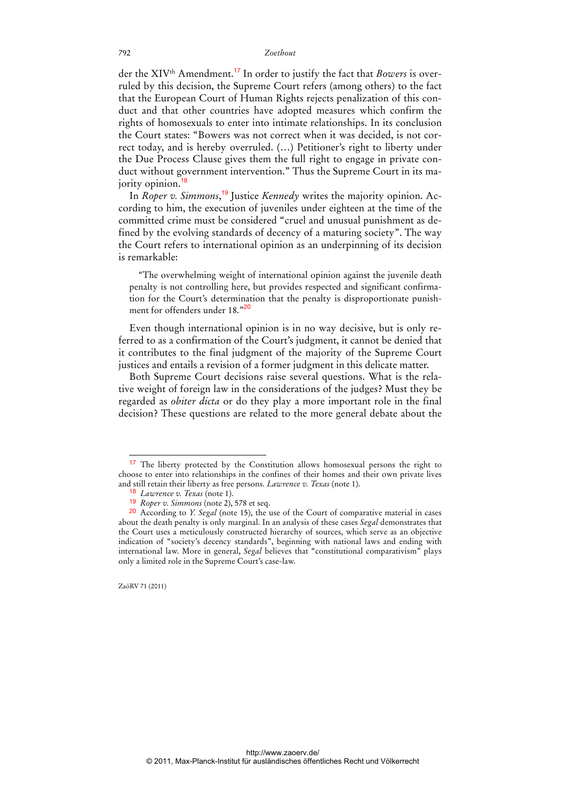der the XIV<sup>th</sup> Amendment.<sup>17</sup> In order to justify the fact that *Bowers* is overruled by this decision, the Supreme Court refers (among others) to the fact that the European Court of Human Rights rejects penalization of this conduct and that other countries have adopted measures which confirm the rights of homosexuals to enter into intimate relationships. In its conclusion the Court states: "Bowers was not correct when it was decided, is not correct today, and is hereby overruled. (…) Petitioner's right to liberty under the Due Process Clause gives them the full right to engage in private conduct without government intervention." Thus the Supreme Court in its majority opinion.<sup>18</sup>

In *Roper v. Simmons*, 19 Justice *Kennedy* writes the majority opinion. According to him, the execution of juveniles under eighteen at the time of the committed crime must be considered "cruel and unusual punishment as defined by the evolving standards of decency of a maturing society". The way the Court refers to international opinion as an underpinning of its decision is remarkable:

"The overwhelming weight of international opinion against the juvenile death penalty is not controlling here, but provides respected and significant confirmation for the Court's determination that the penalty is disproportionate punishment for offenders under 18."<sup>20</sup>

Even though international opinion is in no way decisive, but is only referred to as a confirmation of the Court's judgment, it cannot be denied that it contributes to the final judgment of the majority of the Supreme Court justices and entails a revision of a former judgment in this delicate matter.

Both Supreme Court decisions raise several questions. What is the relative weight of foreign law in the considerations of the judges? Must they be regarded as *obiter dicta* or do they play a more important role in the final decision? These questions are related to the more general debate about the

ZaöRV 71 (2011)

 $\overline{a}$ 

http://www.zaoerv.de/ © 2011, Max-Planck-Institut für ausländisches öffentliches Recht und Völkerrecht

<sup>&</sup>lt;sup>17</sup> The liberty protected by the Constitution allows homosexual persons the right to choose to enter into relationships in the confines of their homes and their own private lives and still retain their liberty as free persons. *Lawrence v. Texas* (note 1).

<sup>18</sup> *Lawrence v. Texas* (note 1).

<sup>19</sup> *Roper v. Simmons* (note 2), 578 et seq.

<sup>20</sup> According to *Y. Segal* (note 15), the use of the Court of comparative material in cases about the death penalty is only marginal. In an analysis of these cases *Segal* demonstrates that the Court uses a meticulously constructed hierarchy of sources, which serve as an objective indication of "society's decency standards", beginning with national laws and ending with international law. More in general, *Segal* believes that "constitutional comparativism" plays only a limited role in the Supreme Court's case-law.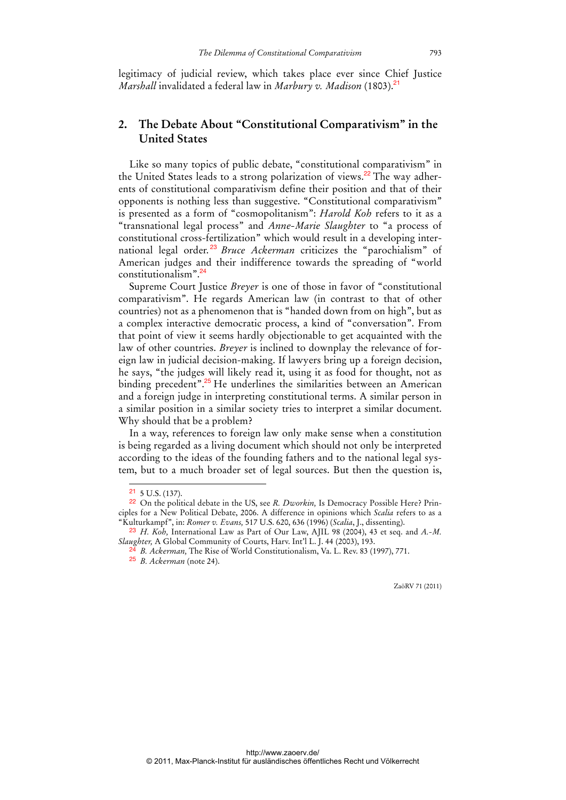legitimacy of judicial review, which takes place ever since Chief Justice *Marshall* invalidated a federal law in *Marbury v. Madison* (1803).<sup>21</sup>

## **2. The Debate About "Constitutional Comparativism" in the United States**

Like so many topics of public debate, "constitutional comparativism" in the United States leads to a strong polarization of views.<sup>22</sup> The way adherents of constitutional comparativism define their position and that of their opponents is nothing less than suggestive. "Constitutional comparativism" is presented as a form of "cosmopolitanism": *Harold Koh* refers to it as a "transnational legal process" and *Anne-Marie Slaughter* to "a process of constitutional cross-fertilization" which would result in a developing international legal order. <sup>23</sup> *Bruce Ackerman* criticizes the "parochialism" of American judges and their indifference towards the spreading of "world constitutionalism".<sup>24</sup>

Supreme Court Justice *Breyer* is one of those in favor of "constitutional comparativism". He regards American law (in contrast to that of other countries) not as a phenomenon that is "handed down from on high", but as a complex interactive democratic process, a kind of "conversation". From that point of view it seems hardly objectionable to get acquainted with the law of other countries. *Breyer* is inclined to downplay the relevance of foreign law in judicial decision-making. If lawyers bring up a foreign decision, he says, "the judges will likely read it, using it as food for thought, not as binding precedent".<sup>25</sup> He underlines the similarities between an American and a foreign judge in interpreting constitutional terms. A similar person in a similar position in a similar society tries to interpret a similar document. Why should that be a problem?

In a way, references to foreign law only make sense when a constitution is being regarded as a living document which should not only be interpreted according to the ideas of the founding fathers and to the national legal system, but to a much broader set of legal sources. But then the question is,

 $21\,$  5 U.S. (137).

<sup>22</sup> On the political debate in the US, see *R. Dworkin,* Is Democracy Possible Here? Principles for a New Political Debate, 2006. A difference in opinions which *Scalia* refers to as a "Kulturkampf", in: *Romer v. Evans,* 517 U.S. 620, 636 (1996) (*Scalia*, J., dissenting).

<sup>23</sup> *H. Koh,* International Law as Part of Our Law, AJIL 98 (2004), 43 et seq. and *A.-M. Slaughter,* A Global Community of Courts, Harv. Int'l L. J. 44 (2003), 193.

<sup>&</sup>lt;sup>24</sup> *B. Ackerman*, The Rise of World Constitutionalism, Va. L. Rev. 83 (1997), 771.

<sup>25</sup> *B. Ackerman* (note 24).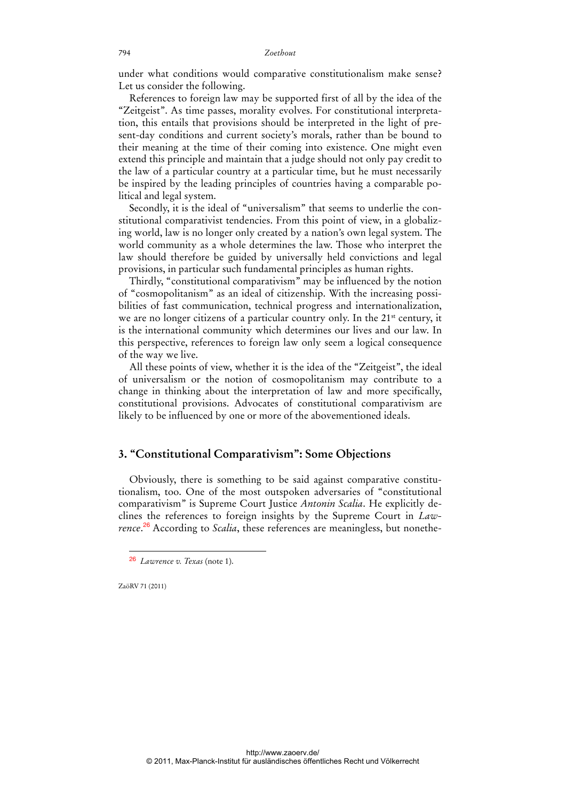under what conditions would comparative constitutionalism make sense? Let us consider the following.

References to foreign law may be supported first of all by the idea of the "Zeitgeist". As time passes, morality evolves. For constitutional interpretation, this entails that provisions should be interpreted in the light of present-day conditions and current society's morals, rather than be bound to their meaning at the time of their coming into existence. One might even extend this principle and maintain that a judge should not only pay credit to the law of a particular country at a particular time, but he must necessarily be inspired by the leading principles of countries having a comparable political and legal system.

Secondly, it is the ideal of "universalism" that seems to underlie the constitutional comparativist tendencies. From this point of view, in a globalizing world, law is no longer only created by a nation's own legal system. The world community as a whole determines the law. Those who interpret the law should therefore be guided by universally held convictions and legal provisions, in particular such fundamental principles as human rights.

Thirdly, "constitutional comparativism" may be influenced by the notion of "cosmopolitanism" as an ideal of citizenship. With the increasing possibilities of fast communication, technical progress and internationalization, we are no longer citizens of a particular country only. In the 21<sup>st</sup> century, it is the international community which determines our lives and our law. In this perspective, references to foreign law only seem a logical consequence of the way we live.

All these points of view, whether it is the idea of the "Zeitgeist", the ideal of universalism or the notion of cosmopolitanism may contribute to a change in thinking about the interpretation of law and more specifically, constitutional provisions. Advocates of constitutional comparativism are likely to be influenced by one or more of the abovementioned ideals.

### **3. "Constitutional Comparativism": Some Objections**

Obviously, there is something to be said against comparative constitutionalism, too. One of the most outspoken adversaries of "constitutional comparativism" is Supreme Court Justice *Antonin Scalia*. He explicitly declines the references to foreign insights by the Supreme Court in *Lawrence*. <sup>26</sup> According to *Scalia*, these references are meaningless, but nonethe-

ZaöRV 71 (2011)

 $\overline{a}$ 

http://www.zaoerv.de/ © 2011, Max-Planck-Institut für ausländisches öffentliches Recht und Völkerrecht

<sup>26</sup> *Lawrence v. Texas* (note 1).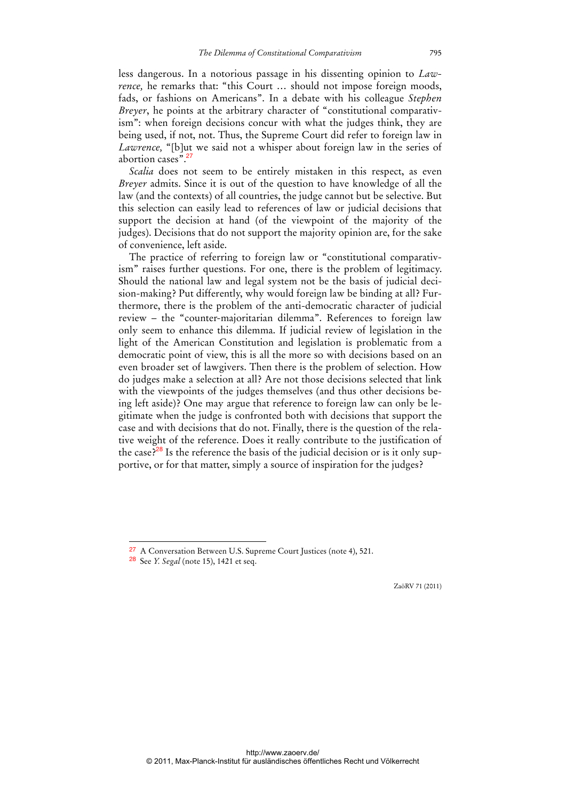less dangerous. In a notorious passage in his dissenting opinion to *Lawrence*, he remarks that: "this Court ... should not impose foreign moods, fads, or fashions on Americans". In a debate with his colleague *Stephen Breyer*, he points at the arbitrary character of "constitutional comparativism": when foreign decisions concur with what the judges think, they are being used, if not, not. Thus, the Supreme Court did refer to foreign law in *Lawrence,* "[b]ut we said not a whisper about foreign law in the series of abortion cases".<sup>27</sup>

*Scalia* does not seem to be entirely mistaken in this respect, as even *Breyer* admits. Since it is out of the question to have knowledge of all the law (and the contexts) of all countries, the judge cannot but be selective. But this selection can easily lead to references of law or judicial decisions that support the decision at hand (of the viewpoint of the majority of the judges). Decisions that do not support the majority opinion are, for the sake of convenience, left aside.

The practice of referring to foreign law or "constitutional comparativism" raises further questions. For one, there is the problem of legitimacy. Should the national law and legal system not be the basis of judicial decision-making? Put differently, why would foreign law be binding at all? Furthermore, there is the problem of the anti-democratic character of judicial review – the "counter-majoritarian dilemma". References to foreign law only seem to enhance this dilemma. If judicial review of legislation in the light of the American Constitution and legislation is problematic from a democratic point of view, this is all the more so with decisions based on an even broader set of lawgivers. Then there is the problem of selection. How do judges make a selection at all? Are not those decisions selected that link with the viewpoints of the judges themselves (and thus other decisions being left aside)? One may argue that reference to foreign law can only be legitimate when the judge is confronted both with decisions that support the case and with decisions that do not. Finally, there is the question of the relative weight of the reference. Does it really contribute to the justification of the case?<sup>28</sup> Is the reference the basis of the judicial decision or is it only supportive, or for that matter, simply a source of inspiration for the judges?

<sup>27</sup> A Conversation Between U.S. Supreme Court Justices (note 4), 521.

<sup>28</sup> See *Y. Segal* (note 15), 1421 et seq.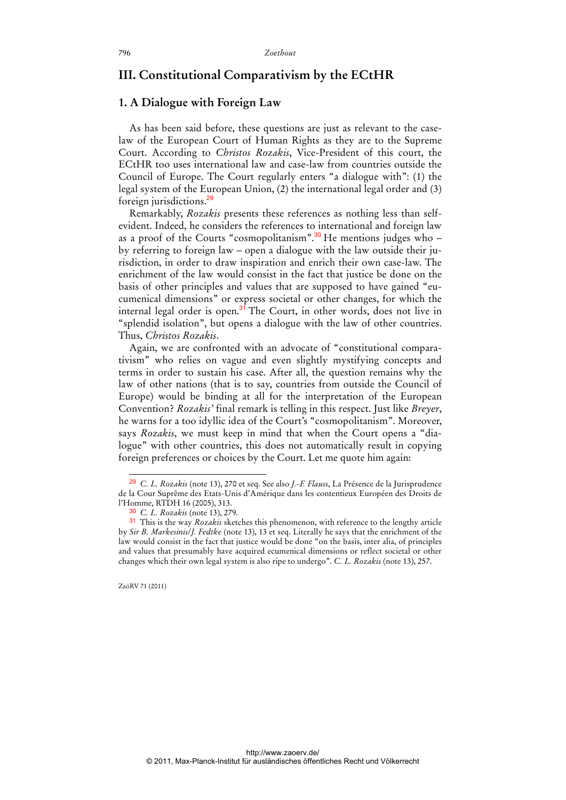## **III. Constitutional Comparativism by the ECtHR**

### **1. A Dialogue with Foreign Law**

As has been said before, these questions are just as relevant to the caselaw of the European Court of Human Rights as they are to the Supreme Court. According to *Christos Rozakis*, Vice-President of this court, the ECtHR too uses international law and case-law from countries outside the Council of Europe. The Court regularly enters "a dialogue with": (1) the legal system of the European Union, (2) the international legal order and (3) foreign jurisdictions.<sup>29</sup>

Remarkably, *Rozakis* presents these references as nothing less than selfevident. Indeed, he considers the references to international and foreign law as a proof of the Courts "cosmopolitanism". $30$  He mentions judges who – by referring to foreign law – open a dialogue with the law outside their jurisdiction, in order to draw inspiration and enrich their own case-law. The enrichment of the law would consist in the fact that justice be done on the basis of other principles and values that are supposed to have gained "eucumenical dimensions" or express societal or other changes, for which the internal legal order is open.<sup>31</sup> The Court, in other words, does not live in "splendid isolation", but opens a dialogue with the law of other countries. Thus, *Christos Rozakis*.

Again, we are confronted with an advocate of "constitutional comparativism" who relies on vague and even slightly mystifying concepts and terms in order to sustain his case. After all, the question remains why the law of other nations (that is to say, countries from outside the Council of Europe) would be binding at all for the interpretation of the European Convention? *Rozakis'* final remark is telling in this respect. Just like *Breyer*, he warns for a too idyllic idea of the Court's "cosmopolitanism". Moreover, says *Rozakis*, we must keep in mind that when the Court opens a "dialogue" with other countries, this does not automatically result in copying foreign preferences or choices by the Court. Let me quote him again:

ZaöRV 71 (2011)

<sup>29</sup> *C. L. Rozakis* (note 13), 270 et seq. See also *J.-F. Flauss*, La Présence de la Jurisprudence de la Cour Suprême des Etats-Unis d'Amérique dans les contentieux Européen des Droits de l'Homme, RTDH 16 (2005), 313.

<sup>30</sup> *C. L. Rozakis* (note 13), 279.

<sup>31</sup> This is the way *Rozakis* sketches this phenomenon, with reference to the lengthy article by *Sir B. Markesinis*/*J. Fedtke* (note 13), 13 et seq. Literally he says that the enrichment of the law would consist in the fact that justice would be done "on the basis, inter alia, of principles and values that presumably have acquired ecumenical dimensions or reflect societal or other changes which their own legal system is also ripe to undergo". *C. L. Rozakis* (note 13), 257.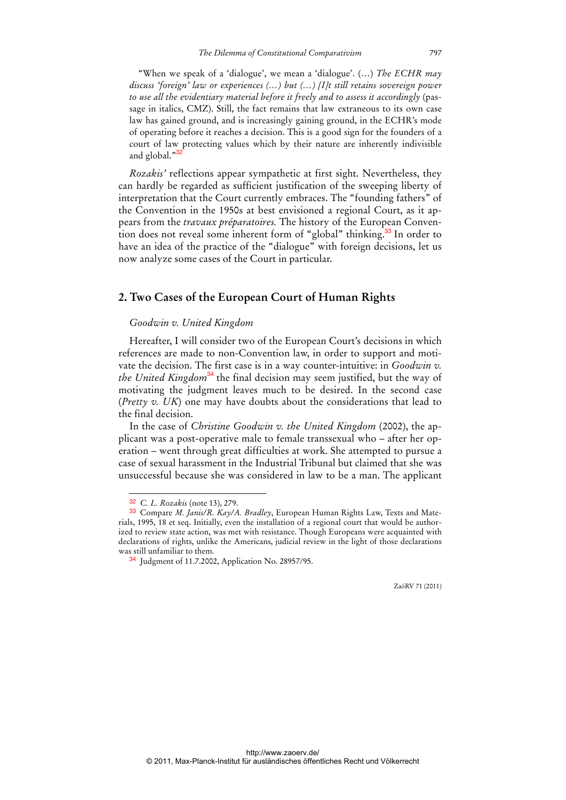"When we speak of a 'dialogue', we mean a 'dialogue'. (…) *The ECHR may discuss 'foreign' law or experiences (…) but (…) [I]t still retains sovereign power to use all the evidentiary material before it freely and to assess it accordingly* (passage in italics, CMZ). Still, the fact remains that law extraneous to its own case law has gained ground, and is increasingly gaining ground, in the ECHR's mode of operating before it reaches a decision. This is a good sign for the founders of a court of law protecting values which by their nature are inherently indivisible and global."<sup>3</sup>

*Rozakis'* reflections appear sympathetic at first sight. Nevertheless, they can hardly be regarded as sufficient justification of the sweeping liberty of interpretation that the Court currently embraces. The "founding fathers" of the Convention in the 1950s at best envisioned a regional Court, as it appears from the *travaux préparatoires.* The history of the European Convention does not reveal some inherent form of "global" thinking.<sup>33</sup> In order to have an idea of the practice of the "dialogue" with foreign decisions, let us now analyze some cases of the Court in particular.

### **2. Two Cases of the European Court of Human Rights**

### *Goodwin v. United Kingdom*

Hereafter, I will consider two of the European Court's decisions in which references are made to non-Convention law, in order to support and motivate the decision. The first case is in a way counter-intuitive: in *Goodwin v. the United Kingdom*<sup>34</sup> the final decision may seem justified, but the way of motivating the judgment leaves much to be desired. In the second case (*Pretty v. UK*) one may have doubts about the considerations that lead to the final decision.

In the case of *Christine Goodwin v. the United Kingdom* (2002), the applicant was a post-operative male to female transsexual who – after her operation – went through great difficulties at work. She attempted to pursue a case of sexual harassment in the Industrial Tribunal but claimed that she was unsuccessful because she was considered in law to be a man. The applicant

 $\ddot{ }$ 

<sup>32</sup> *C. L. Rozakis* (note 13), 279.

<sup>33</sup> Compare *M. Janis/R. Kay/A. Bradley*, European Human Rights Law, Texts and Materials, 1995, 18 et seq. Initially, even the installation of a regional court that would be authorized to review state action, was met with resistance. Though Europeans were acquainted with declarations of rights, unlike the Americans, judicial review in the light of those declarations was still unfamiliar to them.

<sup>34</sup> Judgment of 11.7.2002, Application No. 28957/95.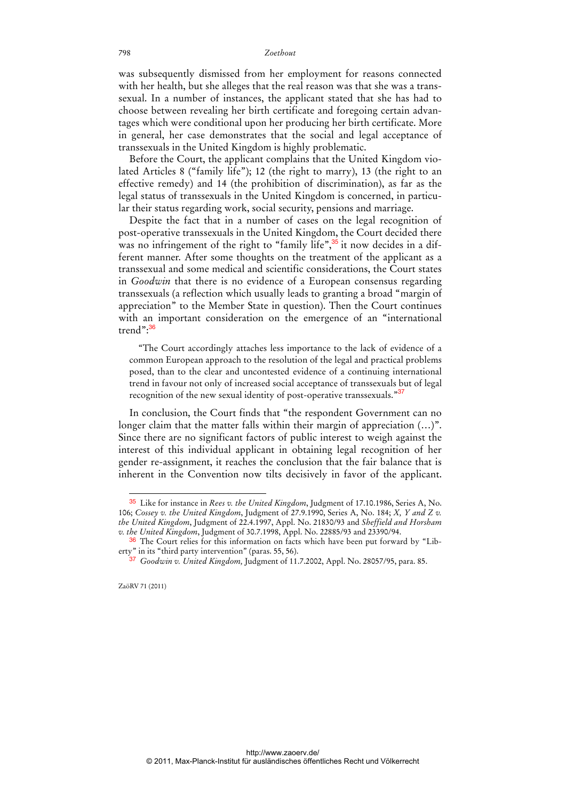was subsequently dismissed from her employment for reasons connected with her health, but she alleges that the real reason was that she was a transsexual. In a number of instances, the applicant stated that she has had to choose between revealing her birth certificate and foregoing certain advantages which were conditional upon her producing her birth certificate. More in general, her case demonstrates that the social and legal acceptance of transsexuals in the United Kingdom is highly problematic.

Before the Court, the applicant complains that the United Kingdom violated Articles 8 ("family life"); 12 (the right to marry), 13 (the right to an effective remedy) and 14 (the prohibition of discrimination), as far as the legal status of transsexuals in the United Kingdom is concerned, in particular their status regarding work, social security, pensions and marriage.

Despite the fact that in a number of cases on the legal recognition of post-operative transsexuals in the United Kingdom, the Court decided there was no infringement of the right to "family life",<sup>35</sup> it now decides in a different manner. After some thoughts on the treatment of the applicant as a transsexual and some medical and scientific considerations, the Court states in *Goodwin* that there is no evidence of a European consensus regarding transsexuals (a reflection which usually leads to granting a broad "margin of appreciation" to the Member State in question). Then the Court continues with an important consideration on the emergence of an "international trend":<sup>36</sup>

"The Court accordingly attaches less importance to the lack of evidence of a common European approach to the resolution of the legal and practical problems posed, than to the clear and uncontested evidence of a continuing international trend in favour not only of increased social acceptance of transsexuals but of legal recognition of the new sexual identity of post-operative transsexuals."<sup>37</sup>

In conclusion, the Court finds that "the respondent Government can no longer claim that the matter falls within their margin of appreciation (…)". Since there are no significant factors of public interest to weigh against the interest of this individual applicant in obtaining legal recognition of her gender re-assignment, it reaches the conclusion that the fair balance that is inherent in the Convention now tilts decisively in favor of the applicant.

 $\ddot{ }$ 

<sup>35</sup> Like for instance in *Rees v. the United Kingdom*, Judgment of 17.10.1986, Series A, No. 106; *Cossey v. the United Kingdom*, Judgment of 27.9.1990, Series A, No. 184; *X, Y and Z v. the United Kingdom*, Judgment of 22.4.1997, Appl. No. 21830/93 and *Sheffield and Horsham v. the United Kingdom*, Judgment of 30.7.1998, Appl. No. 22885/93 and 23390/94.

<sup>36</sup> The Court relies for this information on facts which have been put forward by "Liberty" in its "third party intervention" (paras. 55, 56).

<sup>37</sup> *Goodwin v. United Kingdom,* Judgment of 11.7.2002, Appl. No. 28057/95, para. 85.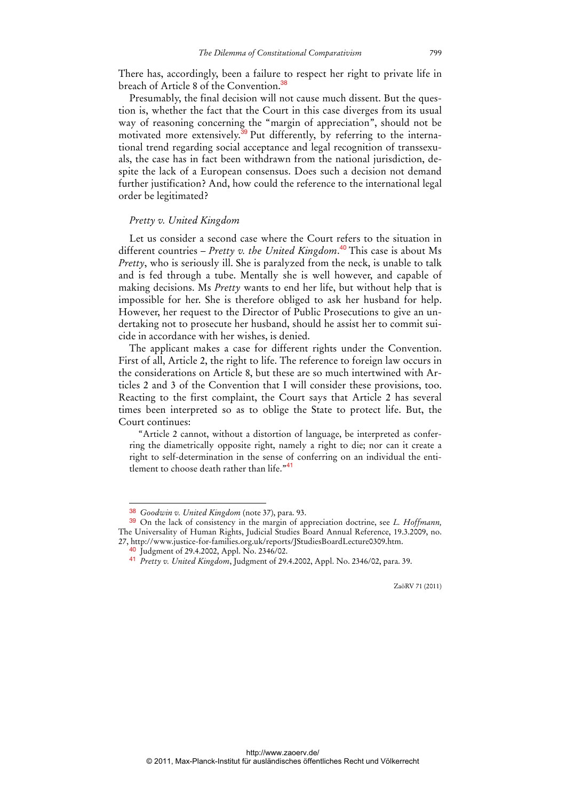There has, accordingly, been a failure to respect her right to private life in breach of Article 8 of the Convention.<sup>38</sup>

Presumably, the final decision will not cause much dissent. But the question is, whether the fact that the Court in this case diverges from its usual way of reasoning concerning the "margin of appreciation", should not be motivated more extensively.<sup>39</sup> Put differently, by referring to the international trend regarding social acceptance and legal recognition of transsexuals, the case has in fact been withdrawn from the national jurisdiction, despite the lack of a European consensus. Does such a decision not demand further justification? And, how could the reference to the international legal order be legitimated?

### *Pretty v. United Kingdom*

Let us consider a second case where the Court refers to the situation in different countries – *Pretty v. the United Kingdom*. <sup>40</sup> This case is about Ms *Pretty*, who is seriously ill. She is paralyzed from the neck, is unable to talk and is fed through a tube. Mentally she is well however, and capable of making decisions. Ms *Pretty* wants to end her life, but without help that is impossible for her. She is therefore obliged to ask her husband for help. However, her request to the Director of Public Prosecutions to give an undertaking not to prosecute her husband, should he assist her to commit suicide in accordance with her wishes, is denied.

The applicant makes a case for different rights under the Convention. First of all, Article 2, the right to life. The reference to foreign law occurs in the considerations on Article 8, but these are so much intertwined with Articles 2 and 3 of the Convention that I will consider these provisions, too. Reacting to the first complaint, the Court says that Article 2 has several times been interpreted so as to oblige the State to protect life. But, the Court continues:

"Article 2 cannot, without a distortion of language, be interpreted as conferring the diametrically opposite right, namely a right to die; nor can it create a right to self-determination in the sense of conferring on an individual the entitlement to choose death rather than life."<sup>41</sup>

 $\ddot{ }$ 

<sup>38</sup> *Goodwin v. United Kingdom* (note 37), para. 93.

<sup>39</sup> On the lack of consistency in the margin of appreciation doctrine, see *L. Hoffmann,* The Universality of Human Rights, Judicial Studies Board Annual Reference, 19.3.2009, no. 27, http://www.justice-for-families.org.uk/reports/JStudiesBoardLecture0309.htm.

<sup>40</sup> Judgment of 29.4.2002, Appl. No. 2346/02.

<sup>41</sup> *Pretty v. United Kingdom*, Judgment of 29.4.2002, Appl. No. 2346/02, para. 39.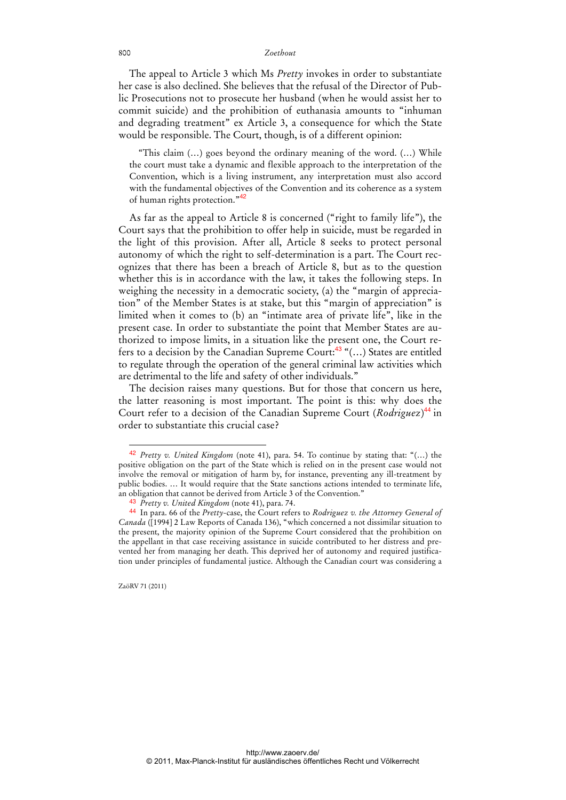The appeal to Article 3 which Ms *Pretty* invokes in order to substantiate her case is also declined. She believes that the refusal of the Director of Public Prosecutions not to prosecute her husband (when he would assist her to commit suicide) and the prohibition of euthanasia amounts to "inhuman and degrading treatment" ex Article 3, a consequence for which the State would be responsible. The Court, though, is of a different opinion:

"This claim (…) goes beyond the ordinary meaning of the word. (…) While the court must take a dynamic and flexible approach to the interpretation of the Convention, which is a living instrument, any interpretation must also accord with the fundamental objectives of the Convention and its coherence as a system of human rights protection."<sup>42</sup>

As far as the appeal to Article 8 is concerned ("right to family life"), the Court says that the prohibition to offer help in suicide, must be regarded in the light of this provision. After all, Article 8 seeks to protect personal autonomy of which the right to self-determination is a part. The Court recognizes that there has been a breach of Article 8, but as to the question whether this is in accordance with the law, it takes the following steps. In weighing the necessity in a democratic society, (a) the "margin of appreciation" of the Member States is at stake, but this "margin of appreciation" is limited when it comes to (b) an "intimate area of private life", like in the present case. In order to substantiate the point that Member States are authorized to impose limits, in a situation like the present one, the Court refers to a decision by the Canadian Supreme Court: $43$  "(...) States are entitled to regulate through the operation of the general criminal law activities which are detrimental to the life and safety of other individuals."

The decision raises many questions. But for those that concern us here, the latter reasoning is most important. The point is this: why does the Court refer to a decision of the Canadian Supreme Court (*Rodriguez*) <sup>44</sup> in order to substantiate this crucial case?

ZaöRV 71 (2011)

<sup>42</sup> *Pretty v. United Kingdom* (note 41), para. 54. To continue by stating that: "(…) the positive obligation on the part of the State which is relied on in the present case would not involve the removal or mitigation of harm by, for instance, preventing any ill-treatment by public bodies. … It would require that the State sanctions actions intended to terminate life, an obligation that cannot be derived from Article 3 of the Convention."

<sup>43</sup> *Pretty v. United Kingdom* (note 41), para. 74.

<sup>44</sup> In para. 66 of the *Pretty*-case, the Court refers to *Rodriguez v. the Attorney General of Canada* ([1994] 2 Law Reports of Canada 136), "which concerned a not dissimilar situation to the present, the majority opinion of the Supreme Court considered that the prohibition on the appellant in that case receiving assistance in suicide contributed to her distress and prevented her from managing her death. This deprived her of autonomy and required justification under principles of fundamental justice. Although the Canadian court was considering a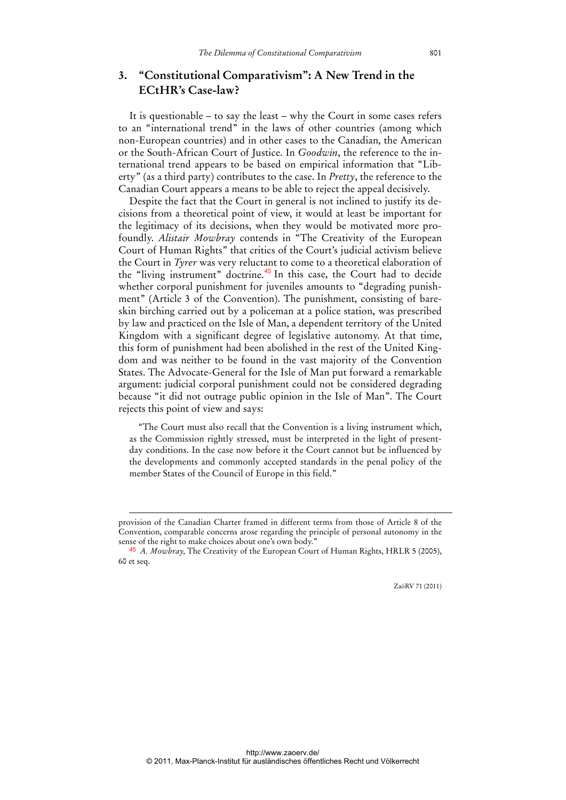## **3. "Constitutional Comparativism": A New Trend in the ECtHR's Case-law?**

It is questionable – to say the least – why the Court in some cases refers to an "international trend" in the laws of other countries (among which non-European countries) and in other cases to the Canadian, the American or the South-African Court of Justice. In *Goodwin*, the reference to the international trend appears to be based on empirical information that "Liberty" (as a third party) contributes to the case. In *Pretty*, the reference to the Canadian Court appears a means to be able to reject the appeal decisively.

Despite the fact that the Court in general is not inclined to justify its decisions from a theoretical point of view, it would at least be important for the legitimacy of its decisions, when they would be motivated more profoundly. *Alistair Mowbray* contends in "The Creativity of the European Court of Human Rights" that critics of the Court's judicial activism believe the Court in *Tyrer* was very reluctant to come to a theoretical elaboration of the "living instrument" doctrine.<sup>45</sup> In this case, the Court had to decide whether corporal punishment for juveniles amounts to "degrading punishment" (Article 3 of the Convention). The punishment, consisting of bareskin birching carried out by a policeman at a police station, was prescribed by law and practiced on the Isle of Man, a dependent territory of the United Kingdom with a significant degree of legislative autonomy. At that time, this form of punishment had been abolished in the rest of the United Kingdom and was neither to be found in the vast majority of the Convention States. The Advocate-General for the Isle of Man put forward a remarkable argument: judicial corporal punishment could not be considered degrading because "it did not outrage public opinion in the Isle of Man". The Court rejects this point of view and says:

"The Court must also recall that the Convention is a living instrument which, as the Commission rightly stressed, must be interpreted in the light of presentday conditions. In the case now before it the Court cannot but be influenced by the developments and commonly accepted standards in the penal policy of the member States of the Council of Europe in this field."

-

provision of the Canadian Charter framed in different terms from those of Article 8 of the Convention, comparable concerns arose regarding the principle of personal autonomy in the sense of the right to make choices about one's own body."

<sup>45</sup> *A. Mowbray,* The Creativity of the European Court of Human Rights, HRLR 5 (2005), 60 et seq.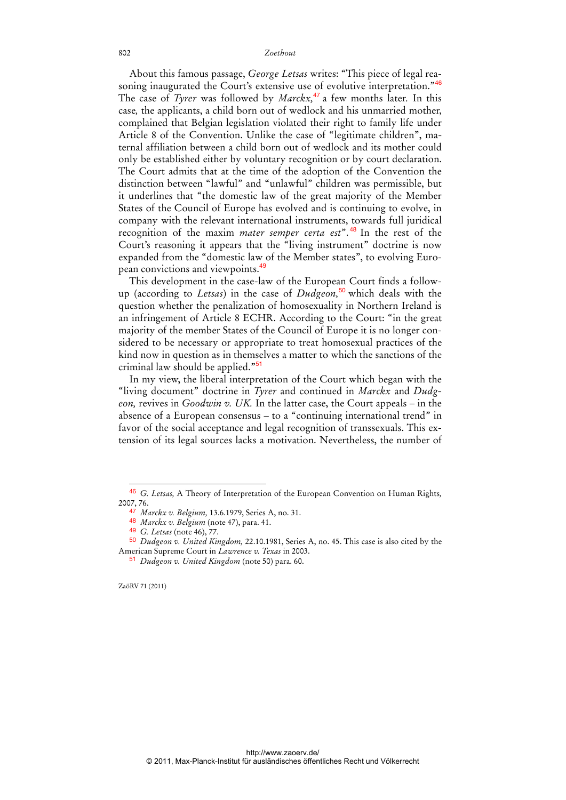About this famous passage, *George Letsas* writes: "This piece of legal reasoning inaugurated the Court's extensive use of evolutive interpretation."<sup>46</sup> The case of *Tyrer* was followed by *Marckx,*<sup>47</sup> a few months later*.* In this case*,* the applicants, a child born out of wedlock and his unmarried mother, complained that Belgian legislation violated their right to family life under Article 8 of the Convention. Unlike the case of "legitimate children", maternal affiliation between a child born out of wedlock and its mother could only be established either by voluntary recognition or by court declaration. The Court admits that at the time of the adoption of the Convention the distinction between "lawful" and "unlawful" children was permissible, but it underlines that "the domestic law of the great majority of the Member States of the Council of Europe has evolved and is continuing to evolve, in company with the relevant international instruments, towards full juridical recognition of the maxim *mater semper certa est*". <sup>48</sup> In the rest of the Court's reasoning it appears that the "living instrument" doctrine is now expanded from the "domestic law of the Member states", to evolving European convictions and viewpoints.<sup>49</sup>

This development in the case-law of the European Court finds a followup (according to *Letsas*) in the case of *Dudgeon,*<sup>50</sup> which deals with the question whether the penalization of homosexuality in Northern Ireland is an infringement of Article 8 ECHR. According to the Court: "in the great majority of the member States of the Council of Europe it is no longer considered to be necessary or appropriate to treat homosexual practices of the kind now in question as in themselves a matter to which the sanctions of the criminal law should be applied."<sup>51</sup>

In my view, the liberal interpretation of the Court which began with the "living document" doctrine in *Tyrer* and continued in *Marckx* and *Dudgeon,* revives in *Goodwin v. UK.* In the latter case, the Court appeals – in the absence of a European consensus – to a "continuing international trend" in favor of the social acceptance and legal recognition of transsexuals. This extension of its legal sources lacks a motivation. Nevertheless, the number of

ZaöRV 71 (2011)

<sup>46</sup> *G. Letsas,* A Theory of Interpretation of the European Convention on Human Rights*,* 2007, 76.

<sup>47</sup> *Marckx v. Belgium,* 13.6.1979, Series A, no. 31.

<sup>48</sup> *Marckx v. Belgium* (note 47), para. 41.

<sup>49</sup> *G. Letsas* (note 46), 77.

<sup>50</sup> *Dudgeon v. United Kingdom,* 22.10.1981, Series A, no. 45. This case is also cited by the American Supreme Court in *Lawrence v. Texas* in 2003.

<sup>51</sup> *Dudgeon v. United Kingdom* (note 50) para. 60.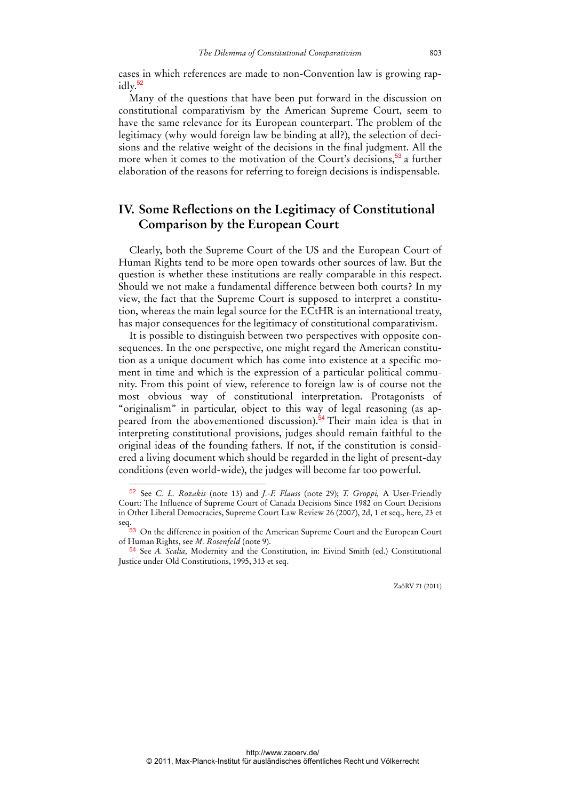cases in which references are made to non-Convention law is growing rap $idly.<sup>52</sup>$ 

Many of the questions that have been put forward in the discussion on constitutional comparativism by the American Supreme Court, seem to have the same relevance for its European counterpart. The problem of the legitimacy (why would foreign law be binding at all?), the selection of decisions and the relative weight of the decisions in the final judgment. All the more when it comes to the motivation of the Court's decisions,<sup>53</sup> a further elaboration of the reasons for referring to foreign decisions is indispensable.

## **IV. Some Reflections on the Legitimacy of Constitutional Comparison by the European Court**

Clearly, both the Supreme Court of the US and the European Court of Human Rights tend to be more open towards other sources of law. But the question is whether these institutions are really comparable in this respect. Should we not make a fundamental difference between both courts? In my view, the fact that the Supreme Court is supposed to interpret a constitution, whereas the main legal source for the ECtHR is an international treaty, has major consequences for the legitimacy of constitutional comparativism.

It is possible to distinguish between two perspectives with opposite consequences. In the one perspective, one might regard the American constitution as a unique document which has come into existence at a specific moment in time and which is the expression of a particular political community. From this point of view, reference to foreign law is of course not the most obvious way of constitutional interpretation. Protagonists of "originalism" in particular, object to this way of legal reasoning (as appeared from the abovementioned discussion).<sup>54</sup> Their main idea is that in interpreting constitutional provisions, judges should remain faithful to the original ideas of the founding fathers. If not, if the constitution is considered a living document which should be regarded in the light of present-day conditions (even world-wide), the judges will become far too powerful.

<sup>52</sup> See *C. L. Rozakis* (note 13) and *J.-F. Flauss* (note 29); *T. Groppi,* A User-Friendly Court: The Influence of Supreme Court of Canada Decisions Since 1982 on Court Decisions in Other Liberal Democracies, Supreme Court Law Review 26 (2007), 2d, 1 et seq., here, 23 et seq.

<sup>&</sup>lt;sup>53</sup> On the difference in position of the American Supreme Court and the European Court of Human Rights, see *M. Rosenfeld* (note 9).

<sup>54</sup> See *A. Scalia,* Modernity and the Constitution, in: Eivind Smith (ed.) Constitutional Justice under Old Constitutions, 1995, 313 et seq.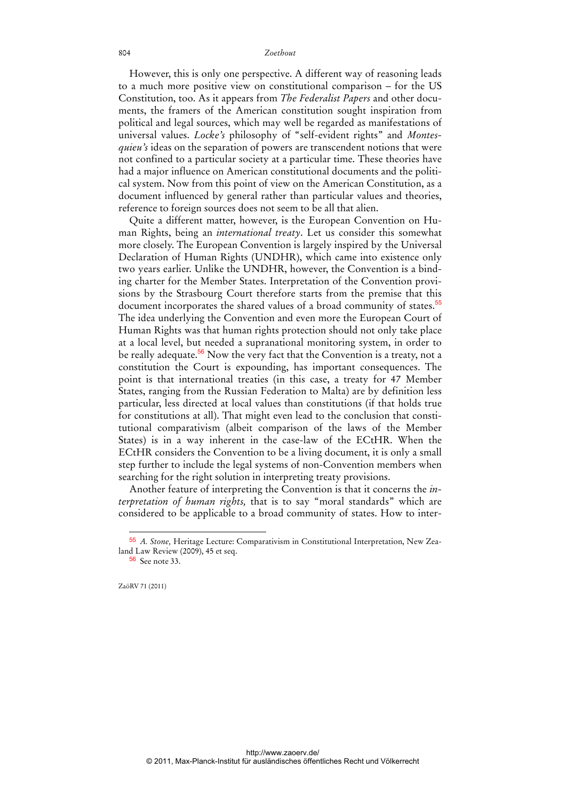However, this is only one perspective. A different way of reasoning leads to a much more positive view on constitutional comparison – for the US Constitution, too. As it appears from *The Federalist Papers* and other documents, the framers of the American constitution sought inspiration from political and legal sources, which may well be regarded as manifestations of universal values. *Locke's* philosophy of "self-evident rights" and *Montesquieu's* ideas on the separation of powers are transcendent notions that were not confined to a particular society at a particular time. These theories have had a major influence on American constitutional documents and the political system. Now from this point of view on the American Constitution, as a document influenced by general rather than particular values and theories, reference to foreign sources does not seem to be all that alien.

Quite a different matter, however, is the European Convention on Human Rights, being an *international treaty*. Let us consider this somewhat more closely. The European Convention is largely inspired by the Universal Declaration of Human Rights (UNDHR), which came into existence only two years earlier. Unlike the UNDHR, however, the Convention is a binding charter for the Member States. Interpretation of the Convention provisions by the Strasbourg Court therefore starts from the premise that this document incorporates the shared values of a broad community of states.<sup>55</sup> The idea underlying the Convention and even more the European Court of Human Rights was that human rights protection should not only take place at a local level, but needed a supranational monitoring system, in order to be really adequate.<sup>56</sup> Now the very fact that the Convention is a treaty, not a constitution the Court is expounding, has important consequences. The point is that international treaties (in this case, a treaty for 47 Member States, ranging from the Russian Federation to Malta) are by definition less particular, less directed at local values than constitutions (if that holds true for constitutions at all). That might even lead to the conclusion that constitutional comparativism (albeit comparison of the laws of the Member States) is in a way inherent in the case-law of the ECtHR. When the ECtHR considers the Convention to be a living document, it is only a small step further to include the legal systems of non-Convention members when searching for the right solution in interpreting treaty provisions.

Another feature of interpreting the Convention is that it concerns the *interpretation of human rights,* that is to say "moral standards" which are considered to be applicable to a broad community of states. How to inter-

ZaöRV 71 (2011)

<sup>55</sup> *A. Stone,* Heritage Lecture: Comparativism in Constitutional Interpretation, New Zealand Law Review (2009), 45 et seq.

<sup>56</sup> See note 33.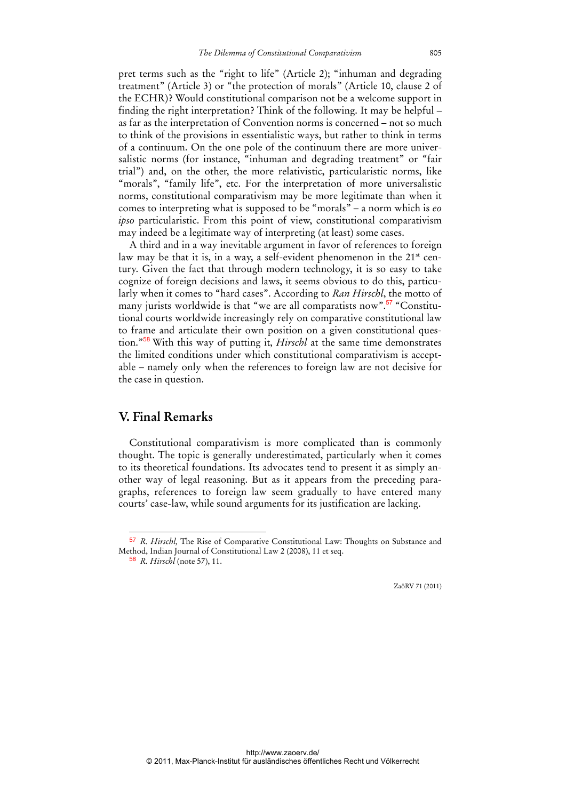pret terms such as the "right to life" (Article 2); "inhuman and degrading treatment" (Article 3) or "the protection of morals" (Article 10, clause 2 of the ECHR)? Would constitutional comparison not be a welcome support in finding the right interpretation? Think of the following. It may be helpful – as far as the interpretation of Convention norms is concerned – not so much to think of the provisions in essentialistic ways, but rather to think in terms of a continuum. On the one pole of the continuum there are more universalistic norms (for instance, "inhuman and degrading treatment" or "fair trial") and, on the other, the more relativistic, particularistic norms, like "morals", "family life", etc. For the interpretation of more universalistic norms, constitutional comparativism may be more legitimate than when it comes to interpreting what is supposed to be "morals" – a norm which is *eo ipso* particularistic. From this point of view, constitutional comparativism may indeed be a legitimate way of interpreting (at least) some cases.

A third and in a way inevitable argument in favor of references to foreign law may be that it is, in a way, a self-evident phenomenon in the 21<sup>st</sup> century. Given the fact that through modern technology, it is so easy to take cognize of foreign decisions and laws, it seems obvious to do this, particularly when it comes to "hard cases". According to *Ran Hirschl*, the motto of many jurists worldwide is that "we are all comparatists now".<sup>57</sup> "Constitutional courts worldwide increasingly rely on comparative constitutional law to frame and articulate their own position on a given constitutional question."<sup>58</sup> With this way of putting it, *Hirschl* at the same time demonstrates the limited conditions under which constitutional comparativism is acceptable – namely only when the references to foreign law are not decisive for the case in question.

### **V. Final Remarks**

Constitutional comparativism is more complicated than is commonly thought. The topic is generally underestimated, particularly when it comes to its theoretical foundations. Its advocates tend to present it as simply another way of legal reasoning. But as it appears from the preceding paragraphs, references to foreign law seem gradually to have entered many courts' case-law, while sound arguments for its justification are lacking.

<sup>57</sup> *R. Hirschl,* The Rise of Comparative Constitutional Law: Thoughts on Substance and Method, Indian Journal of Constitutional Law 2 (2008), 11 et seq.

<sup>58</sup> *R. Hirschl* (note 57), 11.